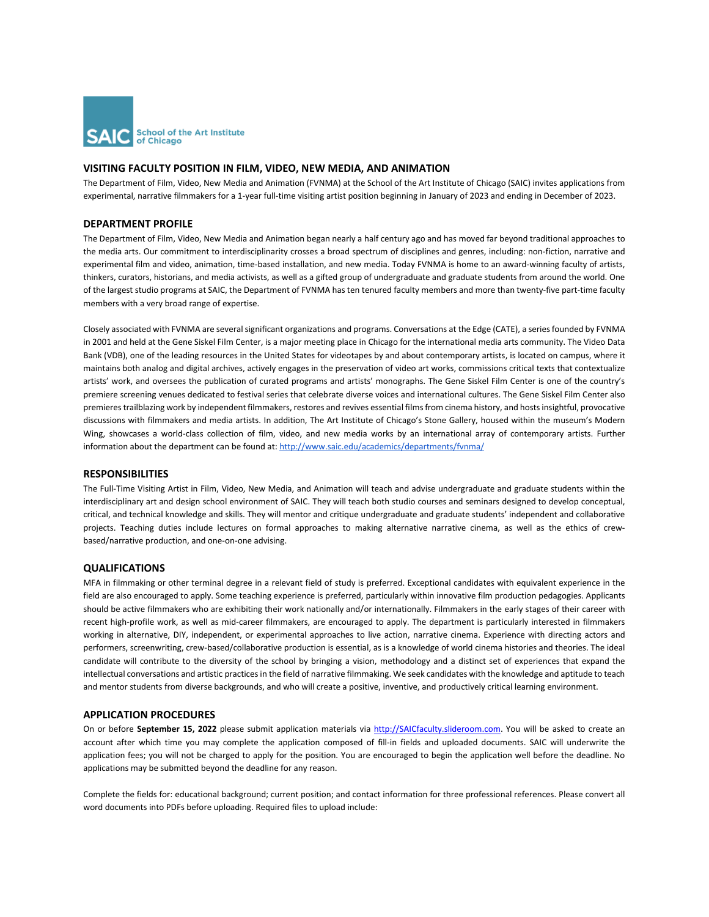

# **VISITING FACULTY POSITION IN FILM, VIDEO, NEW MEDIA, AND ANIMATION**

The Department of Film, Video, New Media and Animation (FVNMA) at the School of the Art Institute of Chicago (SAIC) invites applications from experimental, narrative filmmakers for a 1-year full-time visiting artist position beginning in January of 2023 and ending in December of 2023.

## **DEPARTMENT PROFILE**

The Department of Film, Video, New Media and Animation began nearly a half century ago and has moved far beyond traditional approaches to the media arts. Our commitment to interdisciplinarity crosses a broad spectrum of disciplines and genres, including: non-fiction, narrative and experimental film and video, animation, time-based installation, and new media. Today FVNMA is home to an award-winning faculty of artists, thinkers, curators, historians, and media activists, as well as a gifted group of undergraduate and graduate students from around the world. One of the largest studio programs at SAIC, the Department of FVNMA has ten tenured faculty members and more than twenty-five part-time faculty members with a very broad range of expertise.

Closely associated with FVNMA are several significant organizations and programs. Conversations at the Edge (CATE), a series founded by FVNMA in 2001 and held at the Gene Siskel Film Center, is a major meeting place in Chicago for the international media arts community. The Video Data Bank (VDB), one of the leading resources in the United States for videotapes by and about contemporary artists, is located on campus, where it maintains both analog and digital archives, actively engages in the preservation of video art works, commissions critical texts that contextualize artists' work, and oversees the publication of curated programs and artists' monographs. The Gene Siskel Film Center is one of the country's premiere screening venues dedicated to festival series that celebrate diverse voices and international cultures. The Gene Siskel Film Center also premieres trailblazing work by independent filmmakers, restores and revives essential films from cinema history, and hosts insightful, provocative discussions with filmmakers and media artists. In addition, The Art Institute of Chicago's Stone Gallery, housed within the museum's Modern Wing, showcases a world-class collection of film, video, and new media works by an international array of contemporary artists. Further information about the department can be found at: <http://www.saic.edu/academics/departments/fvnma/>

#### **RESPONSIBILITIES**

The Full-Time Visiting Artist in Film, Video, New Media, and Animation will teach and advise undergraduate and graduate students within the interdisciplinary art and design school environment of SAIC. They will teach both studio courses and seminars designed to develop conceptual, critical, and technical knowledge and skills. They will mentor and critique undergraduate and graduate students' independent and collaborative projects. Teaching duties include lectures on formal approaches to making alternative narrative cinema, as well as the ethics of crewbased/narrative production, and one-on-one advising.

## **QUALIFICATIONS**

MFA in filmmaking or other terminal degree in a relevant field of study is preferred. Exceptional candidates with equivalent experience in the field are also encouraged to apply. Some teaching experience is preferred, particularly within innovative film production pedagogies. Applicants should be active filmmakers who are exhibiting their work nationally and/or internationally. Filmmakers in the early stages of their career with recent high-profile work, as well as mid-career filmmakers, are encouraged to apply. The department is particularly interested in filmmakers working in alternative, DIY, independent, or experimental approaches to live action, narrative cinema. Experience with directing actors and performers, screenwriting, crew-based/collaborative production is essential, as is a knowledge of world cinema histories and theories. The ideal candidate will contribute to the diversity of the school by bringing a vision, methodology and a distinct set of experiences that expand the intellectual conversations and artistic practices in the field of narrative filmmaking. We seek candidates with the knowledge and aptitude to teach and mentor students from diverse backgrounds, and who will create a positive, inventive, and productively critical learning environment.

#### **APPLICATION PROCEDURES**

On or before September 15, 2022 please submit application materials via [http://SAICfaculty.slideroom.com.](http://saicfaculty.slideroom.com/) You will be asked to create an account after which time you may complete the application composed of fill-in fields and uploaded documents. SAIC will underwrite the application fees; you will not be charged to apply for the position. You are encouraged to begin the application well before the deadline. No applications may be submitted beyond the deadline for any reason.

Complete the fields for: educational background; current position; and contact information for three professional references. Please convert all word documents into PDFs before uploading. Required files to upload include: